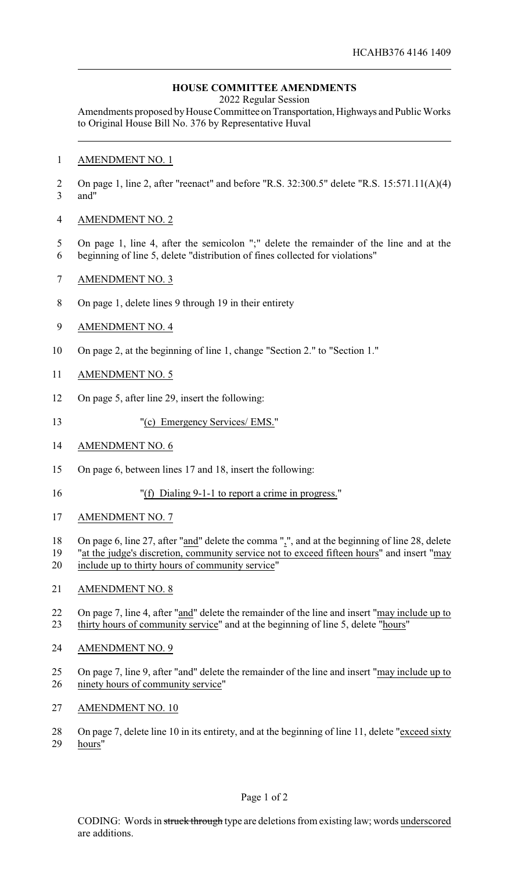## **HOUSE COMMITTEE AMENDMENTS**

2022 Regular Session

Amendments proposed by House Committee on Transportation, Highways and Public Works to Original House Bill No. 376 by Representative Huval

## AMENDMENT NO. 1

 On page 1, line 2, after "reenact" and before "R.S. 32:300.5" delete "R.S. 15:571.11(A)(4) and"

## AMENDMENT NO. 2

- On page 1, line 4, after the semicolon ";" delete the remainder of the line and at the
- beginning of line 5, delete "distribution of fines collected for violations"
- AMENDMENT NO. 3
- On page 1, delete lines 9 through 19 in their entirety
- AMENDMENT NO. 4
- On page 2, at the beginning of line 1, change "Section 2." to "Section 1."
- AMENDMENT NO. 5
- On page 5, after line 29, insert the following:
- "(c) Emergency Services/ EMS."
- AMENDMENT NO. 6
- On page 6, between lines 17 and 18, insert the following:
- "(f) Dialing 9-1-1 to report a crime in progress."
- AMENDMENT NO. 7
- 18 On page 6, line 27, after "and" delete the comma ",", and at the beginning of line 28, delete
- "at the judge's discretion, community service not to exceed fifteen hours" and insert "may include up to thirty hours of community service"
- AMENDMENT NO. 8
- On page 7, line 4, after "and" delete the remainder of the line and insert "may include up to thirty hours of community service" and at the beginning of line 5, delete "hours"
- AMENDMENT NO. 9
- On page 7, line 9, after "and" delete the remainder of the line and insert "may include up to ninety hours of community service"
- AMENDMENT NO. 10
- 28 On page 7, delete line 10 in its entirety, and at the beginning of line 11, delete "exceed sixty hours"